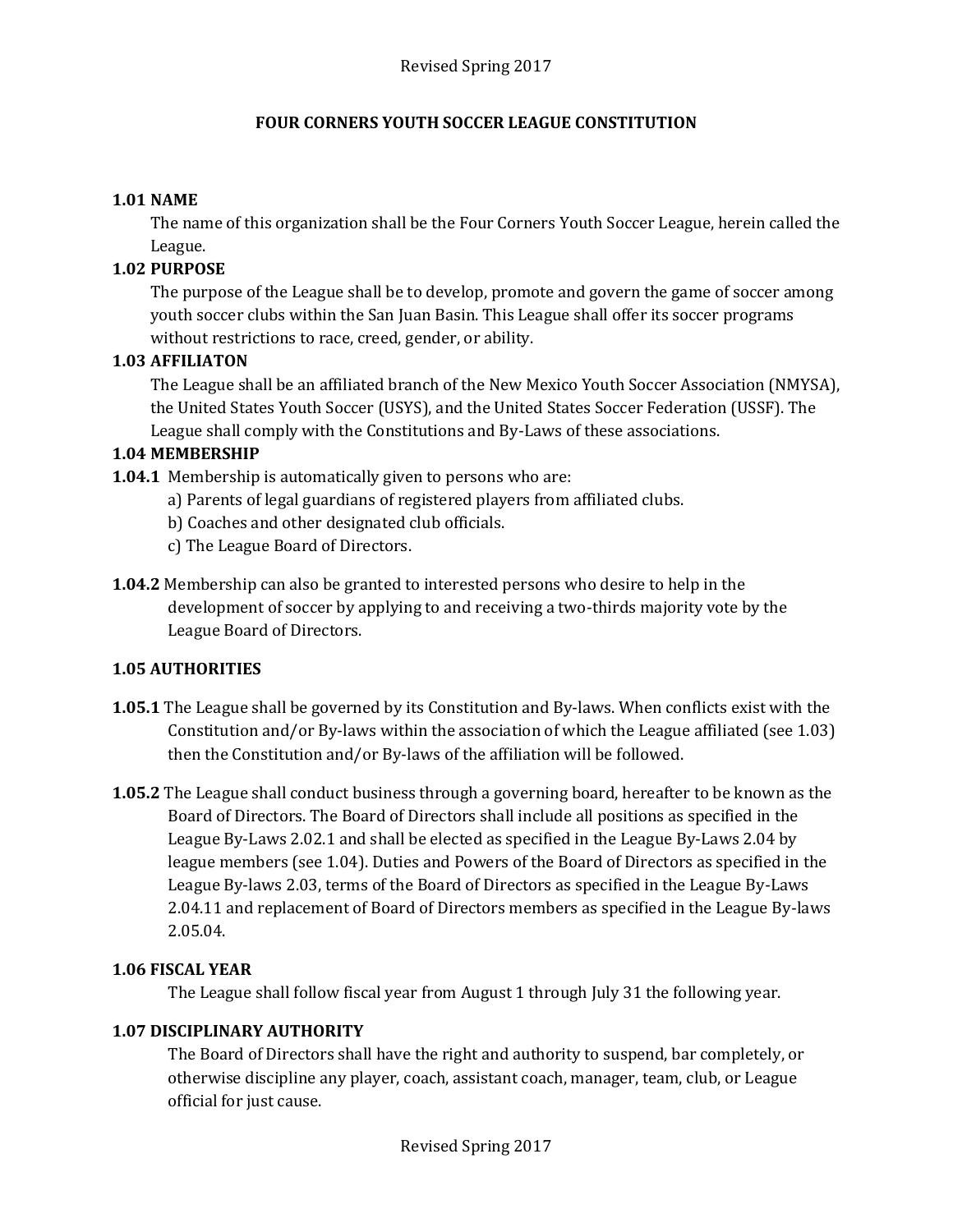## **FOUR CORNERS YOUTH SOCCER LEAGUE CONSTITUTION**

## **1.01 NAME**

The name of this organization shall be the Four Corners Youth Soccer League, herein called the League.

## **1.02 PURPOSE**

The purpose of the League shall be to develop, promote and govern the game of soccer among youth soccer clubs within the San Juan Basin. This League shall offer its soccer programs without restrictions to race, creed, gender, or ability.

## **1.03 AFFILIATON**

The League shall be an affiliated branch of the New Mexico Youth Soccer Association (NMYSA), the United States Youth Soccer (USYS), and the United States Soccer Federation (USSF). The League shall comply with the Constitutions and By-Laws of these associations.

## **1.04 MEMBERSHIP**

- **1.04.1** Membership is automatically given to persons who are:
	- a) Parents of legal guardians of registered players from affiliated clubs.
	- b) Coaches and other designated club officials.
	- c) The League Board of Directors.
- **1.04.2** Membership can also be granted to interested persons who desire to help in the development of soccer by applying to and receiving a two-thirds majority vote by the League Board of Directors.

# **1.05 AUTHORITIES**

- **1.05.1** The League shall be governed by its Constitution and By-laws. When conflicts exist with the Constitution and/or By-laws within the association of which the League affiliated (see 1.03) then the Constitution and/or By-laws of the affiliation will be followed.
- **1.05.2** The League shall conduct business through a governing board, hereafter to be known as the Board of Directors. The Board of Directors shall include all positions as specified in the League By-Laws 2.02.1 and shall be elected as specified in the League By-Laws 2.04 by league members (see 1.04). Duties and Powers of the Board of Directors as specified in the League By-laws 2.03, terms of the Board of Directors as specified in the League By-Laws 2.04.11 and replacement of Board of Directors members as specified in the League By-laws 2.05.04.

#### **1.06 FISCAL YEAR**

The League shall follow fiscal year from August 1 through July 31 the following year.

# **1.07 DISCIPLINARY AUTHORITY**

The Board of Directors shall have the right and authority to suspend, bar completely, or otherwise discipline any player, coach, assistant coach, manager, team, club, or League official for just cause.

Revised Spring 2017